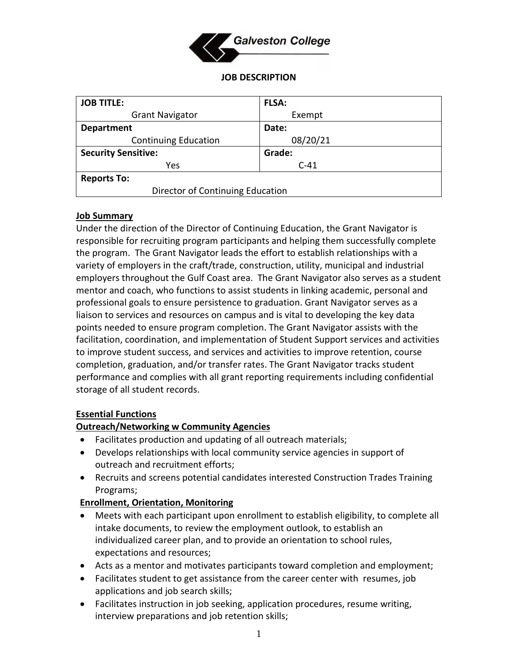

#### **JOB DESCRIPTION**

| <b>JOB TITLE:</b>                | <b>FLSA:</b> |
|----------------------------------|--------------|
| <b>Grant Navigator</b>           | Exempt       |
| <b>Department</b>                | Date:        |
| <b>Continuing Education</b>      | 08/20/21     |
| <b>Security Sensitive:</b>       | Grade:       |
| Yes                              | $C-41$       |
| <b>Reports To:</b>               |              |
| Director of Continuing Education |              |

### **Job Summary**

Under the direction of the Director of Continuing Education, the Grant Navigator is responsible for recruiting program participants and helping them successfully complete the program. The Grant Navigator leads the effort to establish relationships with a variety of employers in the craft/trade, construction, utility, municipal and industrial employers throughout the Gulf Coast area. The Grant Navigator also serves as a student mentor and coach, who functions to assist students in linking academic, personal and professional goals to ensure persistence to graduation. Grant Navigator serves as a liaison to services and resources on campus and is vital to developing the key data points needed to ensure program completion. The Grant Navigator assists with the facilitation, coordination, and implementation of Student Support services and activities to improve student success, and services and activities to improve retention, course completion, graduation, and/or transfer rates. The Grant Navigator tracks student performance and complies with all grant reporting requirements including confidential storage of all student records.

### **Essential Functions**

### **Outreach/Networking w Community Agencies**

- Facilitates production and updating of all outreach materials;
- Develops relationships with local community service agencies in support of outreach and recruitment efforts;
- Recruits and screens potential candidates interested Construction Trades Training Programs;

### **Enrollment, Orientation, Monitoring**

- Meets with each participant upon enrollment to establish eligibility, to complete all intake documents, to review the employment outlook, to establish an individualized career plan, and to provide an orientation to school rules, expectations and resources;
- Acts as a mentor and motivates participants toward completion and employment;
- Facilitates student to get assistance from the career center with resumes, job applications and job search skills;
- Facilitates instruction in job seeking, application procedures, resume writing, interview preparations and job retention skills;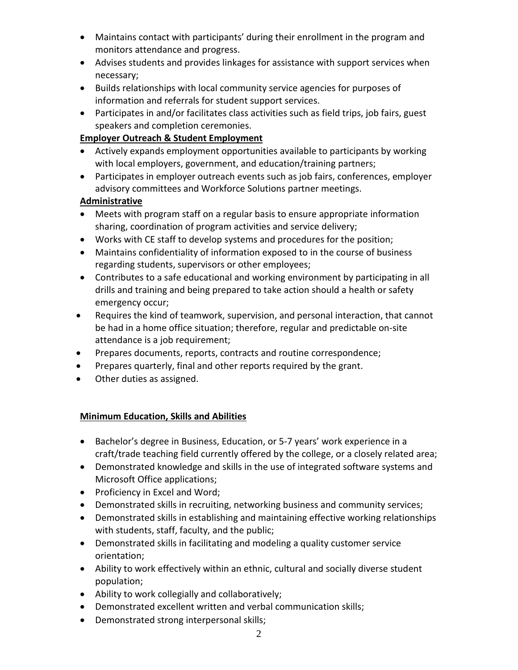- Maintains contact with participants' during their enrollment in the program and monitors attendance and progress.
- Advises students and provides linkages for assistance with support services when necessary;
- Builds relationships with local community service agencies for purposes of information and referrals for student support services.
- Participates in and/or facilitates class activities such as field trips, job fairs, guest speakers and completion ceremonies.

## **Employer Outreach & Student Employment**

- Actively expands employment opportunities available to participants by working with local employers, government, and education/training partners;
- Participates in employer outreach events such as job fairs, conferences, employer advisory committees and Workforce Solutions partner meetings.

# **Administrative**

- Meets with program staff on a regular basis to ensure appropriate information sharing, coordination of program activities and service delivery;
- Works with CE staff to develop systems and procedures for the position;
- Maintains confidentiality of information exposed to in the course of business regarding students, supervisors or other employees;
- Contributes to a safe educational and working environment by participating in all drills and training and being prepared to take action should a health or safety emergency occur;
- Requires the kind of teamwork, supervision, and personal interaction, that cannot be had in a home office situation; therefore, regular and predictable on-site attendance is a job requirement;
- Prepares documents, reports, contracts and routine correspondence;
- Prepares quarterly, final and other reports required by the grant.
- Other duties as assigned.

# **Minimum Education, Skills and Abilities**

- Bachelor's degree in Business, Education, or 5-7 years' work experience in a craft/trade teaching field currently offered by the college, or a closely related area;
- Demonstrated knowledge and skills in the use of integrated software systems and Microsoft Office applications;
- Proficiency in Excel and Word;
- Demonstrated skills in recruiting, networking business and community services;
- Demonstrated skills in establishing and maintaining effective working relationships with students, staff, faculty, and the public;
- Demonstrated skills in facilitating and modeling a quality customer service orientation;
- Ability to work effectively within an ethnic, cultural and socially diverse student population;
- Ability to work collegially and collaboratively;
- Demonstrated excellent written and verbal communication skills;
- Demonstrated strong interpersonal skills;